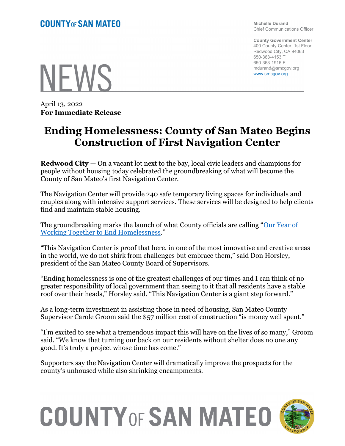Michelle Durand Chief Communications Officer

County Government Center 400 County Center, 1st Floor Redwood City, CA 94063 650-363-4153 T 650-363-1916 F mdurand@smcgov.org www.smcgov.org

**NFWS** 

April 13, 2022 For Immediate Release

# Ending Homelessness: County of San Mateo Begins Construction of First Navigation Center

Redwood City — On a vacant lot next to the bay, local civic leaders and champions for people without housing today celebrated the groundbreaking of what will become the County of San Mateo's first Navigation Center.

The Navigation Center will provide 240 safe temporary living spaces for individuals and couples along with intensive support services. These services will be designed to help clients find and maintain stable housing.

The groundbreaking marks the launch of what County officials are calling "Our Year of Working Together to End Homelessness."

"This Navigation Center is proof that here, in one of the most innovative and creative areas in the world, we do not shirk from challenges but embrace them," said Don Horsley, president of the San Mateo County Board of Supervisors.

"Ending homelessness is one of the greatest challenges of our times and I can think of no greater responsibility of local government than seeing to it that all residents have a stable roof over their heads," Horsley said. "This Navigation Center is a giant step forward."

As a long-term investment in assisting those in need of housing, San Mateo County Supervisor Carole Groom said the \$57 million cost of construction "is money well spent."

"I'm excited to see what a tremendous impact this will have on the lives of so many," Groom said. "We know that turning our back on our residents without shelter does no one any good. It's truly a project whose time has come."

Supporters say the Navigation Center will dramatically improve the prospects for the county's unhoused while also shrinking encampments.

# **COUNTY OF SAN MATEO**

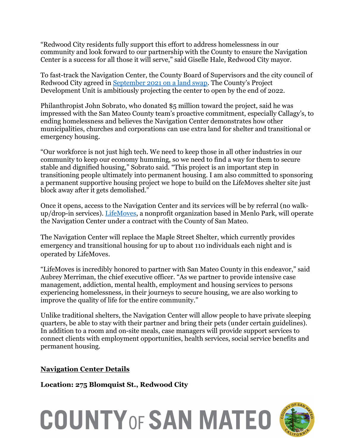"Redwood City residents fully support this effort to address homelessness in our community and look forward to our partnership with the County to ensure the Navigation Center is a success for all those it will serve," said Giselle Hale, Redwood City mayor.

To fast-track the Navigation Center, the County Board of Supervisors and the city council of Redwood City agreed in September 2021 on a land swap. The County's Project Development Unit is ambitiously projecting the center to open by the end of 2022.

Philanthropist John Sobrato, who donated \$5 million toward the project, said he was impressed with the San Mateo County team's proactive commitment, especially Callagy's, to ending homelessness and believes the Navigation Center demonstrates how other municipalities, churches and corporations can use extra land for shelter and transitional or emergency housing.

"Our workforce is not just high tech. We need to keep those in all other industries in our community to keep our economy humming, so we need to find a way for them to secure stable and dignified housing," Sobrato said. "This project is an important step in transitioning people ultimately into permanent housing. I am also committed to sponsoring a permanent supportive housing project we hope to build on the LifeMoves shelter site just block away after it gets demolished."

Once it opens, access to the Navigation Center and its services will be by referral (no walkup/drop-in services). LifeMoves, a nonprofit organization based in Menlo Park, will operate the Navigation Center under a contract with the County of San Mateo.

The Navigation Center will replace the Maple Street Shelter, which currently provides emergency and transitional housing for up to about 110 individuals each night and is operated by LifeMoves.

"LifeMoves is incredibly honored to partner with San Mateo County in this endeavor," said Aubrey Merriman, the chief executive officer. "As we partner to provide intensive case management, addiction, mental health, employment and housing services to persons experiencing homelessness, in their journeys to secure housing, we are also working to improve the quality of life for the entire community."

Unlike traditional shelters, the Navigation Center will allow people to have private sleeping quarters, be able to stay with their partner and bring their pets (under certain guidelines). In addition to a room and on-site meals, case managers will provide support services to connect clients with employment opportunities, health services, social service benefits and permanent housing.

# Navigation Center Details

Location: 275 Blomquist St., Redwood City